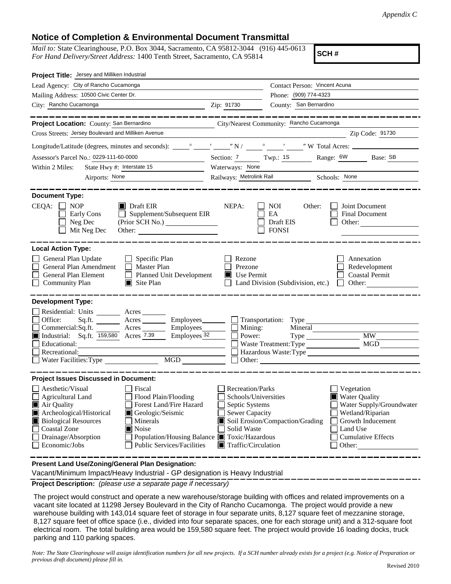## **Notice of Completion & Environmental Document Transmittal**

*Mail to:* State Clearinghouse, P.O. Box 3044, Sacramento, CA 95812-3044 (916) 445-0613 *For Hand Delivery/Street Address:* 1400 Tenth Street, Sacramento, CA 95814

**SCH #**

| Project Title: Jersey and Milliken Industrial                                                                                                                                                                                                                                                                                                                                            |                                                                                                                                                                                                                                                                                                                             |  |  |  |
|------------------------------------------------------------------------------------------------------------------------------------------------------------------------------------------------------------------------------------------------------------------------------------------------------------------------------------------------------------------------------------------|-----------------------------------------------------------------------------------------------------------------------------------------------------------------------------------------------------------------------------------------------------------------------------------------------------------------------------|--|--|--|
| Lead Agency: City of Rancho Cucamonga                                                                                                                                                                                                                                                                                                                                                    | Contact Person: Vincent Acuna                                                                                                                                                                                                                                                                                               |  |  |  |
| Mailing Address: 10500 Civic Center Dr.                                                                                                                                                                                                                                                                                                                                                  | Phone: (909) 774-4323                                                                                                                                                                                                                                                                                                       |  |  |  |
| City: Rancho Cucamonga<br><u> 1989 - Johann Stein, marwolaethau (b. 1989)</u>                                                                                                                                                                                                                                                                                                            | County: San Bernardino<br>Zip: 91730                                                                                                                                                                                                                                                                                        |  |  |  |
|                                                                                                                                                                                                                                                                                                                                                                                          |                                                                                                                                                                                                                                                                                                                             |  |  |  |
| Project Location: County: San Bernardino                                                                                                                                                                                                                                                                                                                                                 | City/Nearest Community: Rancho Cucamonga                                                                                                                                                                                                                                                                                    |  |  |  |
| Cross Streets: Jersey Boulevard and Milliken Avenue                                                                                                                                                                                                                                                                                                                                      | Zip Code: 91730                                                                                                                                                                                                                                                                                                             |  |  |  |
|                                                                                                                                                                                                                                                                                                                                                                                          |                                                                                                                                                                                                                                                                                                                             |  |  |  |
| Assessor's Parcel No.: 0229-111-60-0000<br><u> 1999 - Johann Barnett, f</u>                                                                                                                                                                                                                                                                                                              | Section: $\frac{7}{1}$ Twp.: 18<br>Range: 6W Base: SB                                                                                                                                                                                                                                                                       |  |  |  |
| State Hwy #: Interstate 15<br>Within 2 Miles:                                                                                                                                                                                                                                                                                                                                            | Waterways: None                                                                                                                                                                                                                                                                                                             |  |  |  |
| Airports: None                                                                                                                                                                                                                                                                                                                                                                           | Railways: Metrolink Rail Schools: None                                                                                                                                                                                                                                                                                      |  |  |  |
| <b>Document Type:</b><br>$CEQA: \Box$<br><b>NOP</b><br>$\blacksquare$ Draft EIR<br>Supplement/Subsequent EIR<br>Early Cons<br>Neg Dec<br>Mit Neg Dec<br><b>Local Action Type:</b>                                                                                                                                                                                                        | NEPA:<br>Joint Document<br><b>NOI</b><br>Other:<br>EA<br>Final Document<br>Draft EIS<br>Other:<br><b>FONSI</b>                                                                                                                                                                                                              |  |  |  |
| General Plan Update<br>$\Box$ Specific Plan<br>General Plan Amendment<br>$\Box$ Master Plan<br>General Plan Element<br>Planned Unit Development<br>Community Plan<br>$\blacksquare$ Site Plan                                                                                                                                                                                            | Rezone<br>Annexation<br>Prezone<br>Redevelopment<br><b>Coastal Permit</b><br>$\blacksquare$ Use Permit<br>Other:<br>Land Division (Subdivision, etc.)                                                                                                                                                                       |  |  |  |
| <b>Development Type:</b><br>Residential: Units ________ Acres _____                                                                                                                                                                                                                                                                                                                      |                                                                                                                                                                                                                                                                                                                             |  |  |  |
| Office:<br>Acres Employees<br>Sq.ft.<br>Employees_<br>Commercial:Sq.ft.<br>A <sub>cres</sub><br>Industrial: Sq.ft. 159,580 Acres 7.39<br>Employees <sub>32</sub><br>Educational:<br>Recreational:<br>MGD<br>Water Facilities: Type                                                                                                                                                       | Transportation: Type<br>Mining:<br>Mineral<br>$\mathbf{L}$<br>MW<br>Power:<br>Type<br><b>MGD</b><br>Waste Treatment: Type<br>Hazardous Waste:Type<br>Other:<br>$\Box$                                                                                                                                                       |  |  |  |
| <b>Project Issues Discussed in Document:</b>                                                                                                                                                                                                                                                                                                                                             |                                                                                                                                                                                                                                                                                                                             |  |  |  |
| Aesthetic/Visual<br>Fiscal<br>Agricultural Land<br>Flood Plain/Flooding<br>Air Quality<br>Forest Land/Fire Hazard<br>Archeological/Historical<br>Geologic/Seismic<br><b>Biological Resources</b><br>Minerals<br><b>Coastal Zone</b><br>$\blacksquare$ Noise<br>Drainage/Absorption<br>Population/Housing Balance ■ Toxic/Hazardous<br>Economic/Jobs<br><b>Public Services/Facilities</b> | Recreation/Parks<br>Vegetation<br>Water Quality<br>Schools/Universities<br>Septic Systems<br>Water Supply/Groundwater<br>Sewer Capacity<br>Wetland/Riparian<br>Soil Erosion/Compaction/Grading<br>Growth Inducement<br>Solid Waste<br>Land Use<br><b>Cumulative Effects</b><br>$\blacksquare$ Traffic/Circulation<br>Other: |  |  |  |

**Present Land Use/Zoning/General Plan Designation:**

Vacant/Minimum Impact/Heavy Industrial - GP designation is Heavy Industrial

**Project Description:** *(please use a separate page if necessary)*

 The project would construct and operate a new warehouse/storage building with offices and related improvements on a vacant site located at 11298 Jersey Boulevard in the City of Rancho Cucamonga. The project would provide a new warehouse building with 143,014 square feet of storage in four separate units, 8,127 square feet of mezzanine storage, 8,127 square feet of office space (i.e., divided into four separate spaces, one for each storage unit) and a 312-square foot electrical room. The total building area would be 159,580 square feet. The project would provide 16 loading docks, truck parking and 110 parking spaces.

*Note: The State Clearinghouse will assign identification numbers for all new projects. If a SCH number already exists for a project (e.g. Notice of Preparation or previous draft document) please fill in.*